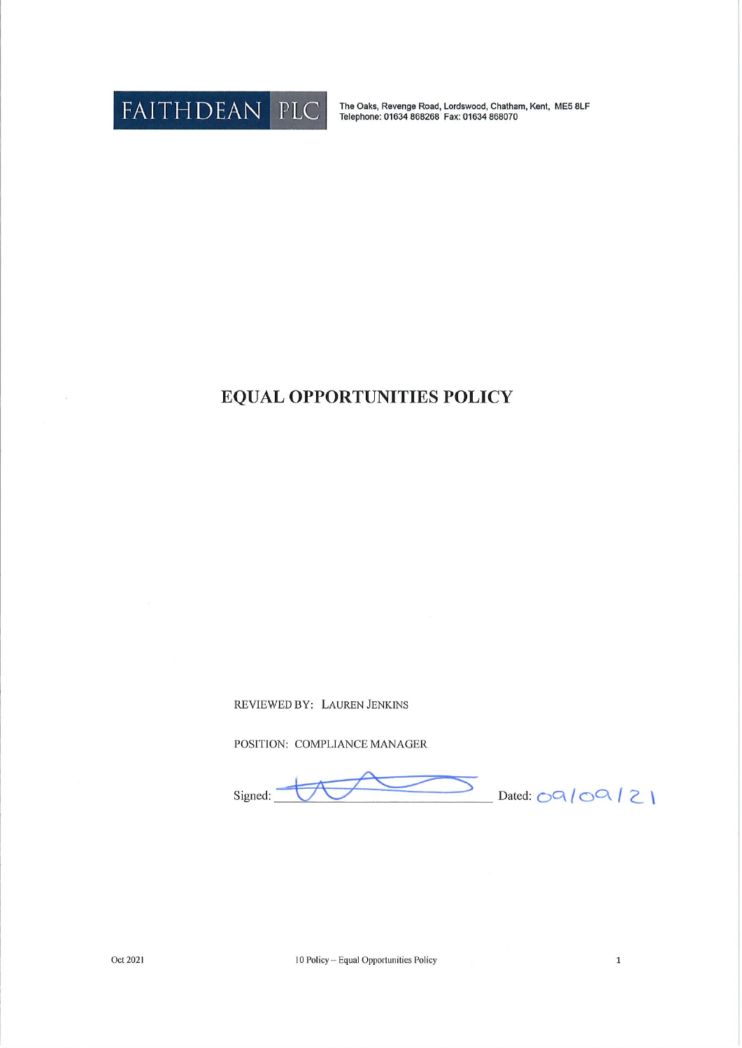

The Oaks, Revenge Road, Lordswood, Chatham, Kent, ME5 8LF<br>Telephone: 01634 868268 Fax: 01634 868070

## **EQUAL OPPORTUNITIES POLICY**

REVIEWED BY: LAUREN JENKINS

POSITION: COMPLIANCE MANAGER

Signed:

Dated:  $OQ/OQ/2$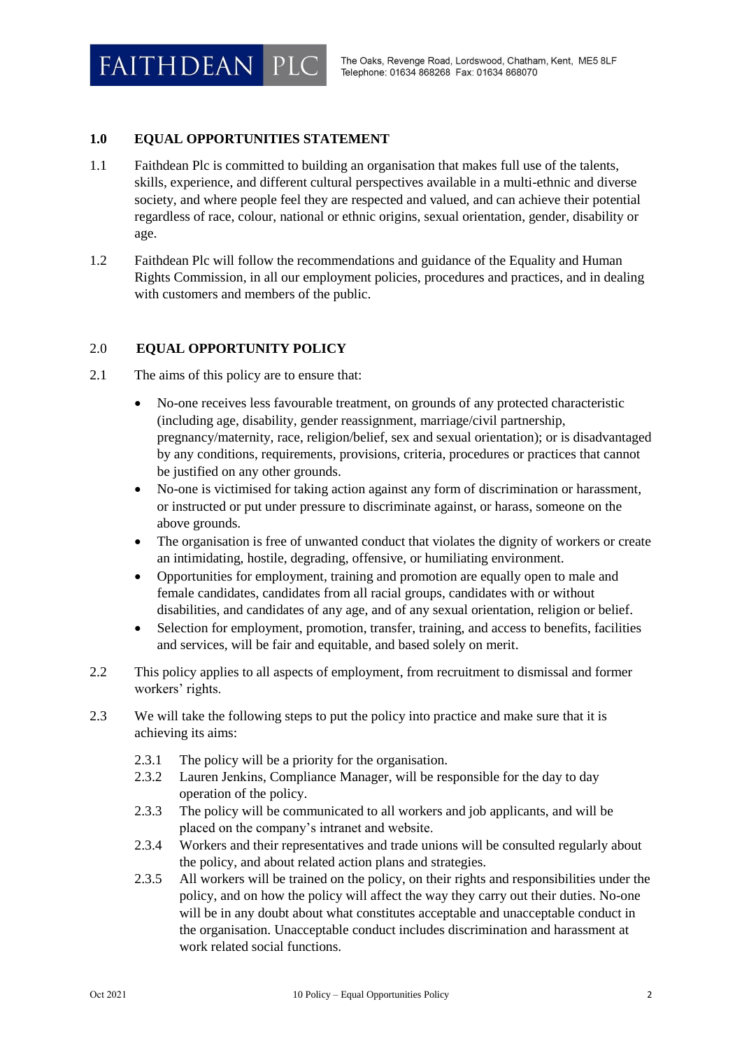## **1.0 EQUAL OPPORTUNITIES STATEMENT**

- 1.1 Faithdean Plc is committed to building an organisation that makes full use of the talents, skills, experience, and different cultural perspectives available in a multi-ethnic and diverse society, and where people feel they are respected and valued, and can achieve their potential regardless of race, colour, national or ethnic origins, sexual orientation, gender, disability or age.
- 1.2 Faithdean Plc will follow the recommendations and guidance of the Equality and Human Rights Commission, in all our employment policies, procedures and practices, and in dealing with customers and members of the public.

## 2.0 **EQUAL OPPORTUNITY POLICY**

- 2.1 The aims of this policy are to ensure that:
	- No-one receives less favourable treatment, on grounds of any protected characteristic (including age, disability, gender reassignment, marriage/civil partnership, pregnancy/maternity, race, religion/belief, sex and sexual orientation); or is disadvantaged by any conditions, requirements, provisions, criteria, procedures or practices that cannot be justified on any other grounds.
	- No-one is victimised for taking action against any form of discrimination or harassment, or instructed or put under pressure to discriminate against, or harass, someone on the above grounds.
	- The organisation is free of unwanted conduct that violates the dignity of workers or create an intimidating, hostile, degrading, offensive, or humiliating environment.
	- Opportunities for employment, training and promotion are equally open to male and female candidates, candidates from all racial groups, candidates with or without disabilities, and candidates of any age, and of any sexual orientation, religion or belief.
	- Selection for employment, promotion, transfer, training, and access to benefits, facilities and services, will be fair and equitable, and based solely on merit.
- 2.2 This policy applies to all aspects of employment, from recruitment to dismissal and former workers' rights.
- 2.3 We will take the following steps to put the policy into practice and make sure that it is achieving its aims:
	- 2.3.1 The policy will be a priority for the organisation.
	- 2.3.2 Lauren Jenkins, Compliance Manager, will be responsible for the day to day operation of the policy.
	- 2.3.3 The policy will be communicated to all workers and job applicants, and will be placed on the company's intranet and website.
	- 2.3.4 Workers and their representatives and trade unions will be consulted regularly about the policy, and about related action plans and strategies.
	- 2.3.5 All workers will be trained on the policy, on their rights and responsibilities under the policy, and on how the policy will affect the way they carry out their duties. No-one will be in any doubt about what constitutes acceptable and unacceptable conduct in the organisation. Unacceptable conduct includes discrimination and harassment at work related social functions.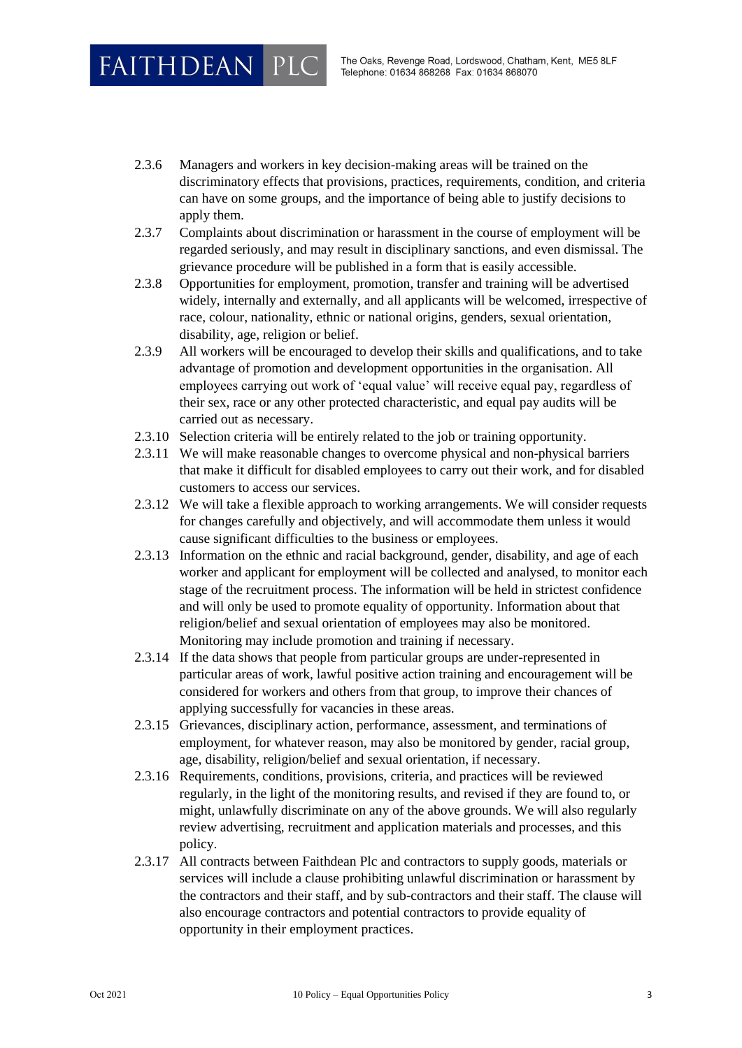**FAITHDEAN PLC** 

- 2.3.6 Managers and workers in key decision-making areas will be trained on the discriminatory effects that provisions, practices, requirements, condition, and criteria can have on some groups, and the importance of being able to justify decisions to apply them.
- 2.3.7 Complaints about discrimination or harassment in the course of employment will be regarded seriously, and may result in disciplinary sanctions, and even dismissal. The grievance procedure will be published in a form that is easily accessible.
- 2.3.8 Opportunities for employment, promotion, transfer and training will be advertised widely, internally and externally, and all applicants will be welcomed, irrespective of race, colour, nationality, ethnic or national origins, genders, sexual orientation, disability, age, religion or belief.
- 2.3.9 All workers will be encouraged to develop their skills and qualifications, and to take advantage of promotion and development opportunities in the organisation. All employees carrying out work of 'equal value' will receive equal pay, regardless of their sex, race or any other protected characteristic, and equal pay audits will be carried out as necessary.
- 2.3.10 Selection criteria will be entirely related to the job or training opportunity.
- 2.3.11 We will make reasonable changes to overcome physical and non-physical barriers that make it difficult for disabled employees to carry out their work, and for disabled customers to access our services.
- 2.3.12 We will take a flexible approach to working arrangements. We will consider requests for changes carefully and objectively, and will accommodate them unless it would cause significant difficulties to the business or employees.
- 2.3.13 Information on the ethnic and racial background, gender, disability, and age of each worker and applicant for employment will be collected and analysed, to monitor each stage of the recruitment process. The information will be held in strictest confidence and will only be used to promote equality of opportunity. Information about that religion/belief and sexual orientation of employees may also be monitored. Monitoring may include promotion and training if necessary.
- 2.3.14 If the data shows that people from particular groups are under-represented in particular areas of work, lawful positive action training and encouragement will be considered for workers and others from that group, to improve their chances of applying successfully for vacancies in these areas.
- 2.3.15 Grievances, disciplinary action, performance, assessment, and terminations of employment, for whatever reason, may also be monitored by gender, racial group, age, disability, religion/belief and sexual orientation, if necessary.
- 2.3.16 Requirements, conditions, provisions, criteria, and practices will be reviewed regularly, in the light of the monitoring results, and revised if they are found to, or might, unlawfully discriminate on any of the above grounds. We will also regularly review advertising, recruitment and application materials and processes, and this policy.
- 2.3.17 All contracts between Faithdean Plc and contractors to supply goods, materials or services will include a clause prohibiting unlawful discrimination or harassment by the contractors and their staff, and by sub-contractors and their staff. The clause will also encourage contractors and potential contractors to provide equality of opportunity in their employment practices.